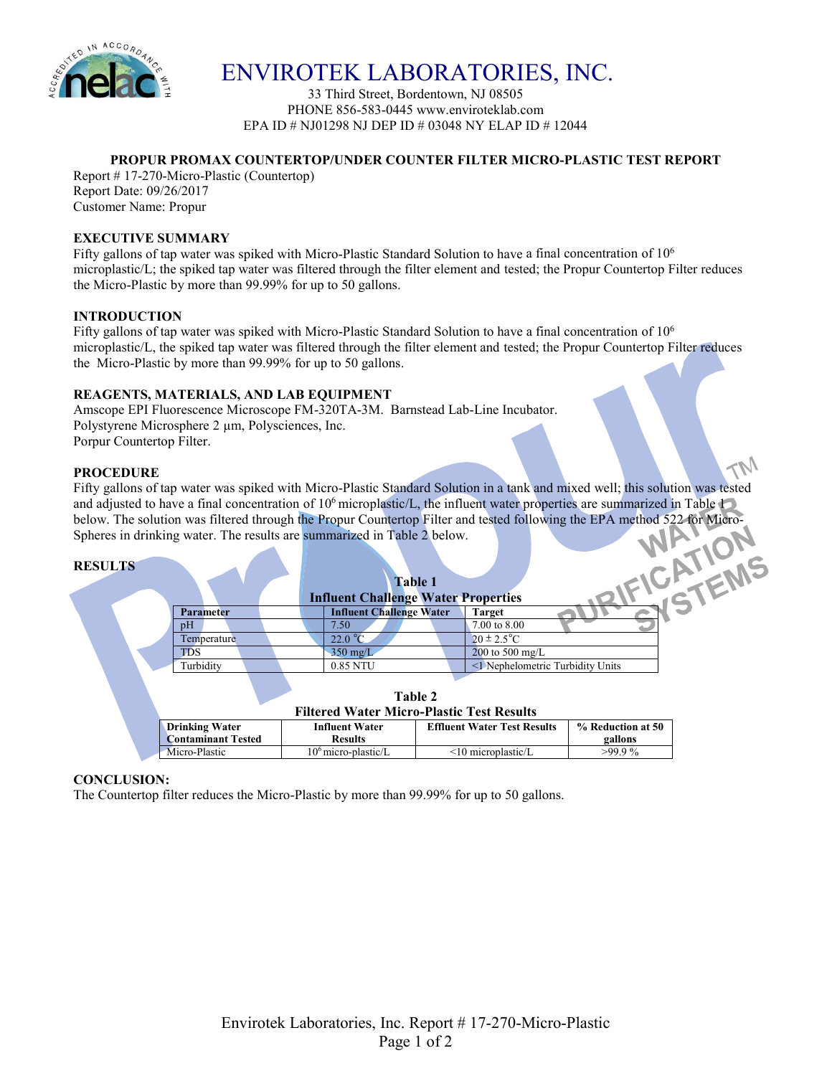

ENVIROTEK LABORATORIES, INC.

33 Third Street, Bordentown, NJ 08505 PHONE 856-583-0445 www.enviroteklab.com EPA ID # NJ01298 NJ DEP ID # 03048 NY ELAP ID # 12044

# **PROPUR PROMAX COUNTERTOP/UNDER COUNTER FILTER MICRO-PLASTIC TEST REPORT**

Report # 17-270-Micro-Plastic (Countertop) Report Date: 09/26/2017 Customer Name: Propur

# **EXECUTIVE SUMMARY**

Fifty gallons of tap water was spiked with Micro-Plastic Standard Solution to have a final concentration of 106 microplastic/L; the spiked tap water was filtered through the filter element and tested; the Propur Countertop Filter reduces the Micro-Plastic by more than 99.99% for up to 50 gallons.

# **INTRODUCTION**

Fifty gallons of tap water was spiked with Micro-Plastic Standard Solution to have a final concentration of 106 microplastic/L, the spiked tap water was filtered through the filter element and tested; the Propur Countertop Filter reduces the Micro-Plastic by more than 99.99% for up to 50 gallons.

# **REAGENTS, MATERIALS, AND LAB EQUIPMENT**

Amscope EPI Fluorescence Microscope FM-320TA-3M. Barnstead Lab-Line Incubator. Polystyrene Microsphere 2  $\mu$ m, Polysciences, Inc. Porpur Countertop Filter.

# **PROCEDURE**

Fifty gallons of tap water was spiked with Micro-Plastic Standard Solution in a tank and mixed well; this solution was tested and adjusted to have a final concentration of 10<sup>6</sup> microplastic/L, the influent water properties are summarized in Table 1 below. The solution was filtered through the Propur Countertop Filter and tested following the EPA method 522 for Micro-Spheres in drinking water. The results are summarized in Table 2 below.

| <b>RESULTS</b> |                  | <b>Table 1</b><br><b>Influent Challenge Water Properties</b> |                                  |
|----------------|------------------|--------------------------------------------------------------|----------------------------------|
|                | <b>Parameter</b> | <b>Influent Challenge Water</b>                              | <b>Target</b>                    |
|                | pH               | 7.50                                                         | 7.00 to 8.00                     |
|                | Temperature      | 22.0 °C                                                      | $20 \pm 2.5^{\circ}$ C           |
|                | <b>TDS</b>       | $350$ mg/L                                                   | 200 to 500 mg/L                  |
|                | Turbidity        | 0.85 NTU                                                     | <1 Nephelometric Turbidity Units |
|                |                  |                                                              |                                  |
|                |                  | Table 2                                                      |                                  |

#### **Filtered Water Micro-Plastic Test Results**

| THEFED WALER MILLIU-LIASUL LESU RESULTS        |                       |                                    |                   |  |  |  |  |
|------------------------------------------------|-----------------------|------------------------------------|-------------------|--|--|--|--|
| <b>Drinking Water</b><br><b>Influent Water</b> |                       | <b>Effluent Water Test Results</b> | % Reduction at 50 |  |  |  |  |
| <b>Contaminant Tested</b>                      | <b>Results</b>        |                                    | gallons           |  |  |  |  |
| Micro-Plastic                                  | $106$ micro-plastic/L | $\leq$ 10 microplastic/L           | $>99.9\%$         |  |  |  |  |

# **CONCLUSION:**

The Countertop filter reduces the Micro-Plastic by more than 99.99% for up to 50 gallons.